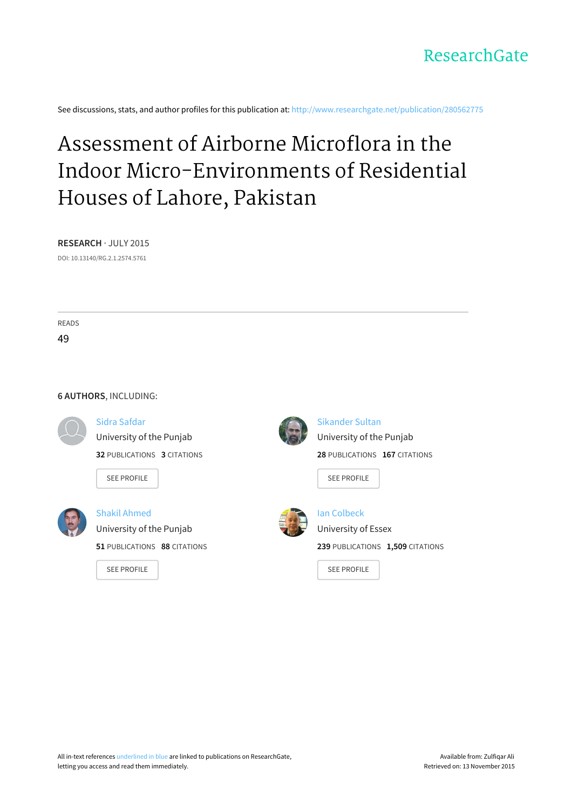

See discussions, stats, and author profiles for this publication at: [http://www.researchgate.net/publication/280562775](http://www.researchgate.net/publication/280562775_Assessment_of_Airborne_Microflora_in_the_Indoor_Micro-Environments_of_Residential_Houses_of_Lahore_Pakistan?enrichId=rgreq-20cee180-01a7-4ed8-b8d8-1c99520412c9&enrichSource=Y292ZXJQYWdlOzI4MDU2Mjc3NTtBUzoyNTY4MzIwODYyMTI2MDhAMTQzODI0NDk0OTYzNg%3D%3D&el=1_x_2)

# Assessment of Airborne Microflora in the Indoor [Micro-Environments](http://www.researchgate.net/publication/280562775_Assessment_of_Airborne_Microflora_in_the_Indoor_Micro-Environments_of_Residential_Houses_of_Lahore_Pakistan?enrichId=rgreq-20cee180-01a7-4ed8-b8d8-1c99520412c9&enrichSource=Y292ZXJQYWdlOzI4MDU2Mjc3NTtBUzoyNTY4MzIwODYyMTI2MDhAMTQzODI0NDk0OTYzNg%3D%3D&el=1_x_3) of Residential Houses of Lahore, Pakistan

#### **RESEARCH** · JULY 2015

DOI: 10.13140/RG.2.1.2574.5761

READS 49

#### **6 AUTHORS**, INCLUDING:



### Sidra [Safdar](http://www.researchgate.net/profile/Sidra_Safdar?enrichId=rgreq-20cee180-01a7-4ed8-b8d8-1c99520412c9&enrichSource=Y292ZXJQYWdlOzI4MDU2Mjc3NTtBUzoyNTY4MzIwODYyMTI2MDhAMTQzODI0NDk0OTYzNg%3D%3D&el=1_x_5)

[University](http://www.researchgate.net/institution/University_of_the_Punjab?enrichId=rgreq-20cee180-01a7-4ed8-b8d8-1c99520412c9&enrichSource=Y292ZXJQYWdlOzI4MDU2Mjc3NTtBUzoyNTY4MzIwODYyMTI2MDhAMTQzODI0NDk0OTYzNg%3D%3D&el=1_x_6) of the Punjab **32** PUBLICATIONS **3** CITATIONS

SEE [PROFILE](http://www.researchgate.net/profile/Sidra_Safdar?enrichId=rgreq-20cee180-01a7-4ed8-b8d8-1c99520412c9&enrichSource=Y292ZXJQYWdlOzI4MDU2Mjc3NTtBUzoyNTY4MzIwODYyMTI2MDhAMTQzODI0NDk0OTYzNg%3D%3D&el=1_x_7)



### Shakil [Ahmed](http://www.researchgate.net/profile/Shakil_Ahmed13?enrichId=rgreq-20cee180-01a7-4ed8-b8d8-1c99520412c9&enrichSource=Y292ZXJQYWdlOzI4MDU2Mjc3NTtBUzoyNTY4MzIwODYyMTI2MDhAMTQzODI0NDk0OTYzNg%3D%3D&el=1_x_5) [University](http://www.researchgate.net/institution/University_of_the_Punjab?enrichId=rgreq-20cee180-01a7-4ed8-b8d8-1c99520412c9&enrichSource=Y292ZXJQYWdlOzI4MDU2Mjc3NTtBUzoyNTY4MzIwODYyMTI2MDhAMTQzODI0NDk0OTYzNg%3D%3D&el=1_x_6) of the Punjab

**51** PUBLICATIONS **88** CITATIONS

SEE [PROFILE](http://www.researchgate.net/profile/Shakil_Ahmed13?enrichId=rgreq-20cee180-01a7-4ed8-b8d8-1c99520412c9&enrichSource=Y292ZXJQYWdlOzI4MDU2Mjc3NTtBUzoyNTY4MzIwODYyMTI2MDhAMTQzODI0NDk0OTYzNg%3D%3D&el=1_x_7)



### [Sikander](http://www.researchgate.net/profile/Sikander_Sultan?enrichId=rgreq-20cee180-01a7-4ed8-b8d8-1c99520412c9&enrichSource=Y292ZXJQYWdlOzI4MDU2Mjc3NTtBUzoyNTY4MzIwODYyMTI2MDhAMTQzODI0NDk0OTYzNg%3D%3D&el=1_x_5) Sultan [University](http://www.researchgate.net/institution/University_of_the_Punjab?enrichId=rgreq-20cee180-01a7-4ed8-b8d8-1c99520412c9&enrichSource=Y292ZXJQYWdlOzI4MDU2Mjc3NTtBUzoyNTY4MzIwODYyMTI2MDhAMTQzODI0NDk0OTYzNg%3D%3D&el=1_x_6) of the Punjab

**28** PUBLICATIONS **167** CITATIONS

SEE [PROFILE](http://www.researchgate.net/profile/Sikander_Sultan?enrichId=rgreq-20cee180-01a7-4ed8-b8d8-1c99520412c9&enrichSource=Y292ZXJQYWdlOzI4MDU2Mjc3NTtBUzoyNTY4MzIwODYyMTI2MDhAMTQzODI0NDk0OTYzNg%3D%3D&el=1_x_7)



## Ian [Colbeck](http://www.researchgate.net/profile/Ian_Colbeck?enrichId=rgreq-20cee180-01a7-4ed8-b8d8-1c99520412c9&enrichSource=Y292ZXJQYWdlOzI4MDU2Mjc3NTtBUzoyNTY4MzIwODYyMTI2MDhAMTQzODI0NDk0OTYzNg%3D%3D&el=1_x_5) [University](http://www.researchgate.net/institution/University_of_Essex?enrichId=rgreq-20cee180-01a7-4ed8-b8d8-1c99520412c9&enrichSource=Y292ZXJQYWdlOzI4MDU2Mjc3NTtBUzoyNTY4MzIwODYyMTI2MDhAMTQzODI0NDk0OTYzNg%3D%3D&el=1_x_6) of Essex **239** PUBLICATIONS **1,509** CITATIONS

SEE [PROFILE](http://www.researchgate.net/profile/Ian_Colbeck?enrichId=rgreq-20cee180-01a7-4ed8-b8d8-1c99520412c9&enrichSource=Y292ZXJQYWdlOzI4MDU2Mjc3NTtBUzoyNTY4MzIwODYyMTI2MDhAMTQzODI0NDk0OTYzNg%3D%3D&el=1_x_7)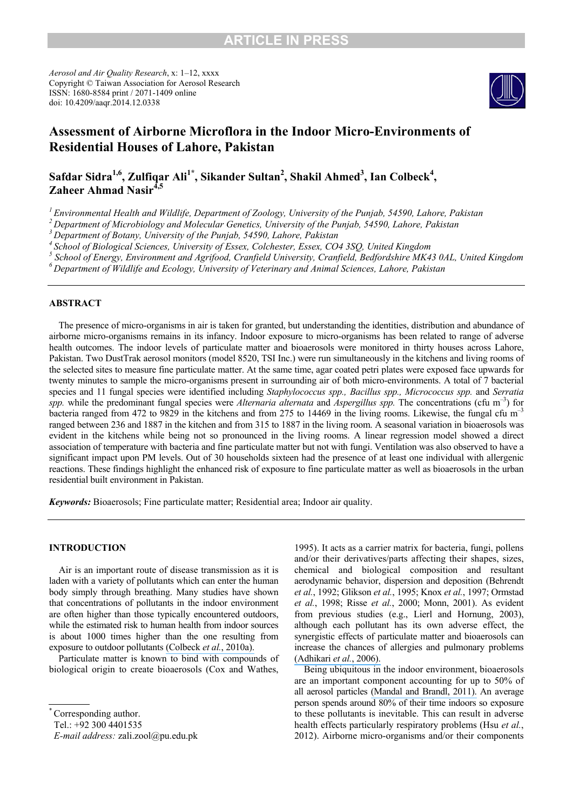*Aerosol and Air Quality Research*, x: 1–12, xxxx Copyright © Taiwan Association for Aerosol Research ISSN: 1680-8584 print / 2071-1409 online doi: 10.4209/aaqr.2014.12.0338



### **Assessment of Airborne Microflora in the Indoor Micro-Environments of Residential Houses of Lahore, Pakistan**

 $\mathbf{Safdar~Sidra}^{1,6}, \mathbf{Zulfiqar Ali}^{1*}, \mathbf{Sikander~Sultan}^{2}, \mathbf{Shakil~Ahmed}^{3}, \mathbf{Ian~Colbeck}^{4},$ **Zaheer Ahmad Nasir4,5** 

*1 Environmental Health and Wildlife, Department of Zoology, University of the Punjab, 54590, Lahore, Pakistan 2 Department of Microbiology and Molecular Genetics, University of the Punjab, 54590, Lahore, Pakistan* 

*3 Department of Botany, University of the Punjab, 54590, Lahore, Pakistan*

 $5$  School of Energy, Environment and Agrifood, Cranfield University, Cranfield, Bedfordshire MK43 0AL, United Kingdom

*6 Department of Wildlife and Ecology, University of Veterinary and Animal Sciences, Lahore, Pakistan* 

### **ABSTRACT**

The presence of micro-organisms in air is taken for granted, but understanding the identities, distribution and abundance of airborne micro-organisms remains in its infancy. Indoor exposure to micro-organisms has been related to range of adverse health outcomes. The indoor levels of particulate matter and bioaerosols were monitored in thirty houses across Lahore, Pakistan. Two DustTrak aerosol monitors (model 8520, TSI Inc.) were run simultaneously in the kitchens and living rooms of the selected sites to measure fine particulate matter. At the same time, agar coated petri plates were exposed face upwards for twenty minutes to sample the micro-organisms present in surrounding air of both micro-environments. A total of 7 bacterial species and 11 fungal species were identified including *Staphylococcus spp., Bacillus spp., Micrococcus spp.* and *Serratia spp.* while the predominant fungal species were *Alternaria alternata* and *Aspergillus spp.* The concentrations (cfu m–3) for bacteria ranged from 472 to 9829 in the kitchens and from 275 to 14469 in the living rooms. Likewise, the fungal cfu  $m<sup>-3</sup>$ ranged between 236 and 1887 in the kitchen and from 315 to 1887 in the living room. A seasonal variation in bioaerosols was evident in the kitchens while being not so pronounced in the living rooms. A linear regression model showed a direct association of temperature with bacteria and fine particulate matter but not with fungi. Ventilation was also observed to have a significant impact upon PM levels. Out of 30 households sixteen had the presence of at least one individual with allergenic reactions. These findings highlight the enhanced risk of exposure to fine particulate matter as well as bioaerosols in the urban residential built environment in Pakistan.

*Keywords:* Bioaerosols; Fine particulate matter; Residential area; Indoor air quality.

#### **INTRODUCTION**

Air is an important route of disease transmission as it is laden with a variety of pollutants which can enter the human body simply through breathing. Many studies have shown that concentrations of pollutants in the indoor environment are often higher than those typically encountered outdoors, while the estimated risk to human health from indoor sources is about 1000 times higher than the one resulting from exposure to outdoor pollutants [\(Colbeck](https://www.researchgate.net/publication/41454168_The_state_of_indoor_air_quality_in_Pakistana_review?el=1_x_8&enrichId=rgreq-20cee180-01a7-4ed8-b8d8-1c99520412c9&enrichSource=Y292ZXJQYWdlOzI4MDU2Mjc3NTtBUzoyNTY4MzIwODYyMTI2MDhAMTQzODI0NDk0OTYzNg==) *et al.*, 2010a).

Particulate matter is known to bind with compounds of biological origin to create bioaerosols (Cox and Wathes,

Tel.: +92 300 4401535

1995). It acts as a carrier matrix for bacteria, fungi, pollens and/or their derivatives/parts affecting their shapes, sizes, chemical and biological composition and resultant aerodynamic behavior, dispersion and deposition (Behrendt *et al.*, 1992; Glikson *et al.*, 1995; Knox *et al.*, 1997; Ormstad *et al.*, 1998; Risse *et al.*, 2000; Monn, 2001). As evident from previous studies (e.g., Lierl and Hornung, 2003), although each pollutant has its own adverse effect, the synergistic effects of particulate matter and bioaerosols can increase the chances of allergies and pulmonary problems [\(Adhikari](https://www.researchgate.net/publication/7581389_Correlation_of_ambient_inhalable_bioaerosols_with_particulate_matter_and_ozone_A_two-year_study?el=1_x_8&enrichId=rgreq-20cee180-01a7-4ed8-b8d8-1c99520412c9&enrichSource=Y292ZXJQYWdlOzI4MDU2Mjc3NTtBUzoyNTY4MzIwODYyMTI2MDhAMTQzODI0NDk0OTYzNg==) *et al.*, 2006).

Being ubiquitous in the indoor environment, bioaerosols are an important component accounting for up to 50% of all aerosol particles [\(Mandal and Brandl, 2011\).](https://www.researchgate.net/publication/215792301_Bioaerosols_in_Indoor_Environment_-_A_Review_with_Special_Reference_to_Residential_and_Occupational_Locations?el=1_x_8&enrichId=rgreq-20cee180-01a7-4ed8-b8d8-1c99520412c9&enrichSource=Y292ZXJQYWdlOzI4MDU2Mjc3NTtBUzoyNTY4MzIwODYyMTI2MDhAMTQzODI0NDk0OTYzNg==) An average person spends around 80% of their time indoors so exposure to these pollutants is inevitable. This can result in adverse health effects particularly respiratory problems (Hsu *et al.*, 2012). Airborne micro-organisms and/or their components

Corresponding author.

*E-mail address:* zali.zool@pu.edu.pk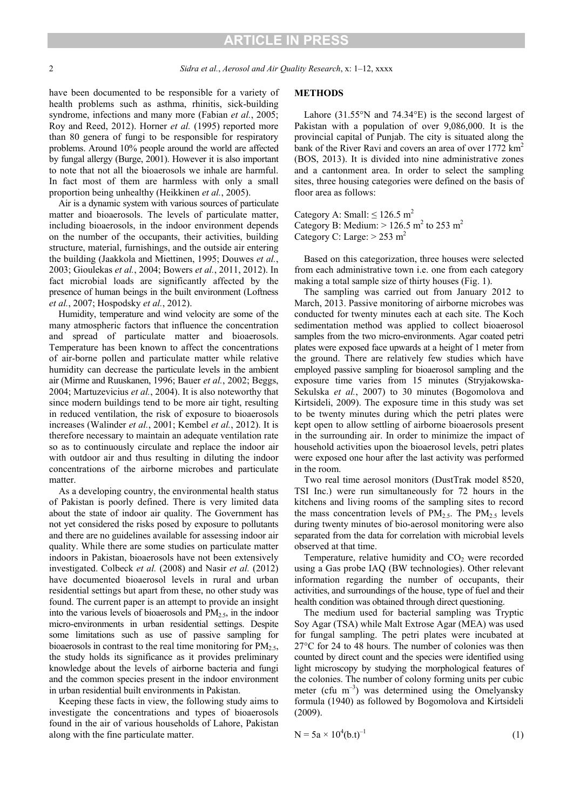have been documented to be responsible for a variety of health problems such as asthma, rhinitis, sick-building syndrome, infections and many more (Fabian *et al.*, 2005; Roy and Reed, 2012). Horner *et al.* (1995) reported more than 80 genera of fungi to be responsible for respiratory problems. Around 10% people around the world are affected by fungal allergy (Burge, 2001). However it is also important to note that not all the bioaerosols we inhale are harmful. In fact most of them are harmless with only a small proportion being unhealthy (Heikkinen *et al.*, 2005).

Air is a dynamic system with various sources of particulate matter and bioaerosols. The levels of particulate matter, including bioaerosols, in the indoor environment depends on the number of the occupants, their activities, building structure, material, furnishings, and the outside air entering the building (Jaakkola and Miettinen, 1995; Douwes *et al.*, 2003; Gioulekas *et al.*, 2004; Bowers *et al.*, 2011, 2012). In fact microbial loads are significantly affected by the presence of human beings in the built environment (Loftness *et al.*, 2007; Hospodsky *et al.*, 2012).

Humidity, temperature and wind velocity are some of the many atmospheric factors that influence the concentration and spread of particulate matter and bioaerosols. Temperature has been known to affect the concentrations of air-borne pollen and particulate matter while relative humidity can decrease the particulate levels in the ambient air (Mirme and Ruuskanen, 1996; Bauer *et al.*, 2002; Beggs, 2004; Martuzevicius *et al.*, 2004). It is also noteworthy that since modern buildings tend to be more air tight, resulting in reduced ventilation, the risk of exposure to bioaerosols increases (Walinder *et al.*, 2001; Kembel *et al.*, 2012). It is therefore necessary to maintain an adequate ventilation rate so as to continuously circulate and replace the indoor air with outdoor air and thus resulting in diluting the indoor concentrations of the airborne microbes and particulate matter.

As a developing country, the environmental health status of Pakistan is poorly defined. There is very limited data about the state of indoor air quality. The Government has not yet considered the risks posed by exposure to pollutants and there are no guidelines available for assessing indoor air quality. While there are some studies on particulate matter indoors in Pakistan, bioaerosols have not been extensively investigated. Colbeck *et al.* (2008) and Nasir *et al.* (2012) have documented bioaerosol levels in rural and urban residential settings but apart from these, no other study was found. The current paper is an attempt to provide an insight into the various levels of bioaerosols and  $PM_{2.5}$ , in the indoor micro-environments in urban residential settings. Despite some limitations such as use of passive sampling for bioaerosols in contrast to the real time monitoring for  $PM<sub>2.5</sub>$ , the study holds its significance as it provides preliminary knowledge about the levels of airborne bacteria and fungi and the common species present in the indoor environment in urban residential built environments in Pakistan.

Keeping these facts in view, the following study aims to investigate the concentrations and types of bioaerosols found in the air of various households of Lahore, Pakistan along with the fine particulate matter.

#### **METHODS**

Lahore (31.55°N and 74.34°E) is the second largest of Pakistan with a population of over 9,086,000. It is the provincial capital of Punjab. The city is situated along the bank of the River Ravi and covers an area of over  $1772 \text{ km}^2$ (BOS, 2013). It is divided into nine administrative zones and a cantonment area. In order to select the sampling sites, three housing categories were defined on the basis of floor area as follows:

Category A: Small:  $\leq 126.5$  m<sup>2</sup> Category B: Medium:  $> 126.5$  m<sup>2</sup> to 253 m<sup>2</sup> Category C: Large:  $> 253$  m<sup>2</sup>

Based on this categorization, three houses were selected from each administrative town i.e. one from each category making a total sample size of thirty houses (Fig. 1).

The sampling was carried out from January 2012 to March, 2013. Passive monitoring of airborne microbes was conducted for twenty minutes each at each site. The Koch sedimentation method was applied to collect bioaerosol samples from the two micro-environments. Agar coated petri plates were exposed face upwards at a height of 1 meter from the ground. There are relatively few studies which have employed passive sampling for bioaerosol sampling and the exposure time varies from 15 minutes (Stryjakowska-Sekulska *et al.*, 2007) to 30 minutes (Bogomolova and Kirtsideli, 2009). The exposure time in this study was set to be twenty minutes during which the petri plates were kept open to allow settling of airborne bioaerosols present in the surrounding air. In order to minimize the impact of household activities upon the bioaerosol levels, petri plates were exposed one hour after the last activity was performed in the room.

Two real time aerosol monitors (DustTrak model 8520, TSI Inc.) were run simultaneously for 72 hours in the kitchens and living rooms of the sampling sites to record the mass concentration levels of  $PM_{2.5}$ . The  $PM_{2.5}$  levels during twenty minutes of bio-aerosol monitoring were also separated from the data for correlation with microbial levels observed at that time.

Temperature, relative humidity and  $CO<sub>2</sub>$  were recorded using a Gas probe IAQ (BW technologies). Other relevant information regarding the number of occupants, their activities, and surroundings of the house, type of fuel and their health condition was obtained through direct questioning.

The medium used for bacterial sampling was Tryptic Soy Agar (TSA) while Malt Extrose Agar (MEA) was used for fungal sampling. The petri plates were incubated at 27°C for 24 to 48 hours. The number of colonies was then counted by direct count and the species were identified using light microscopy by studying the morphological features of the colonies. The number of colony forming units per cubic meter (cfu  $m^{-3}$ ) was determined using the Omelyansky formula (1940) as followed by Bogomolova and Kirtsideli (2009).

$$
N = 5a \times 10^4 (b.t)^{-1}
$$
 (1)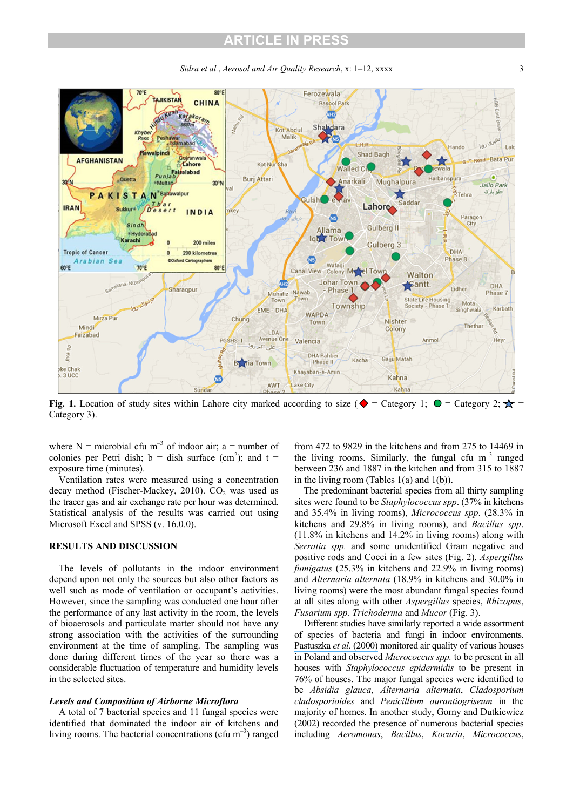

*Sidra et al., Aerosol and Air Quality Research, x:* 1–12, xxxx 3

**Fig. 1.** Location of study sites within Lahore city marked according to size ( $\blacklozenge$  = Category 1;  $\blacklozenge$  = Category 2;  $\blacktriangleright$  = Category 3).

where  $N =$  microbial cfu m<sup>-3</sup> of indoor air; a = number of colonies per Petri dish;  $b =$  dish surface (cm<sup>2</sup>); and  $t =$ exposure time (minutes).

Ventilation rates were measured using a concentration decay method (Fischer-Mackey, 2010).  $CO<sub>2</sub>$  was used as the tracer gas and air exchange rate per hour was determined. Statistical analysis of the results was carried out using Microsoft Excel and SPSS (v. 16.0.0).

#### **RESULTS AND DISCUSSION**

The levels of pollutants in the indoor environment depend upon not only the sources but also other factors as well such as mode of ventilation or occupant's activities. However, since the sampling was conducted one hour after the performance of any last activity in the room, the levels of bioaerosols and particulate matter should not have any strong association with the activities of the surrounding environment at the time of sampling. The sampling was done during different times of the year so there was a considerable fluctuation of temperature and humidity levels in the selected sites.

#### *Levels and Composition of Airborne Microflora*

A total of 7 bacterial species and 11 fungal species were identified that dominated the indoor air of kitchens and living rooms. The bacterial concentrations (cfu  $m^{-3}$ ) ranged from 472 to 9829 in the kitchens and from 275 to 14469 in the living rooms. Similarly, the fungal cfu  $m^{-3}$  ranged between 236 and 1887 in the kitchen and from 315 to 1887 in the living room (Tables  $1(a)$  and  $1(b)$ ).

The predominant bacterial species from all thirty sampling sites were found to be *Staphylococcus spp*. (37% in kitchens and 35.4% in living rooms), *Micrococcus spp*. (28.3% in kitchens and 29.8% in living rooms), and *Bacillus spp*. (11.8% in kitchens and 14.2% in living rooms) along with *Serratia spp.* and some unidentified Gram negative and positive rods and Cocci in a few sites (Fig. 2). *Aspergillus fumigatus* (25.3% in kitchens and 22.9% in living rooms) and *Alternaria alternata* (18.9% in kitchens and 30.0% in living rooms) were the most abundant fungal species found at all sites along with other *Aspergillus* species, *Rhizopus*, *Fusarium spp. Trichoderma* and *Mucor* (Fig. 3).

Different studies have similarly reported a wide assortment of species of bacteria and fungi in indoor environments. [Pastuszka](https://www.researchgate.net/publication/222656539_Bacteria_and_fungal_aerosol_in_indoor_environment_in_Upper_Silesia_Poland._Atmos_Environ_34_3833-3842?el=1_x_8&enrichId=rgreq-20cee180-01a7-4ed8-b8d8-1c99520412c9&enrichSource=Y292ZXJQYWdlOzI4MDU2Mjc3NTtBUzoyNTY4MzIwODYyMTI2MDhAMTQzODI0NDk0OTYzNg==) *et al.* (2000) monitored air quality of various houses in Poland and observed *Micrococcus spp.* to be present in all houses with *Staphylococcus epidermidis* to be present in 76% of houses. The major fungal species were identified to be *Absidia glauca*, *Alternaria alternata*, *Cladosporium cladosporioides* and *Penicillium aurantiogriseum* in the majority of homes. In another study, Gorny and Dutkiewicz (2002) recorded the presence of numerous bacterial species including *Aeromonas*, *Bacillus*, *Kocuria*, *Micrococcus*,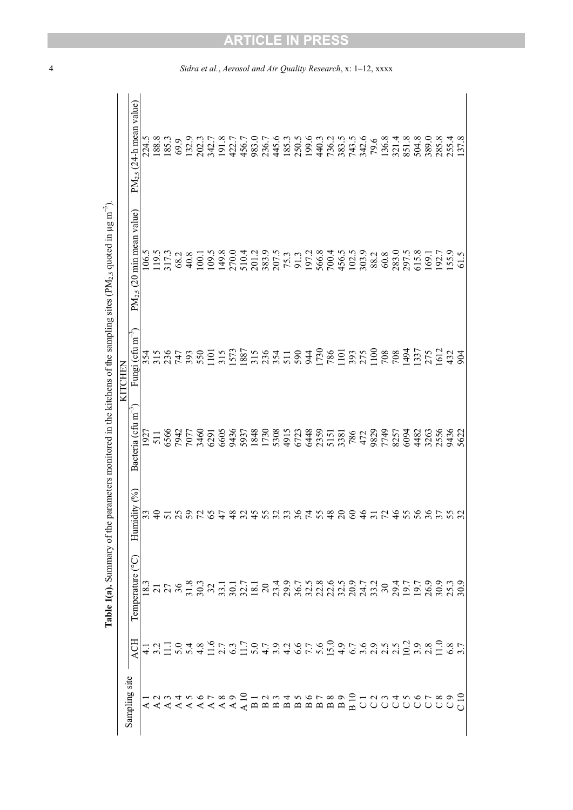|                                                                           |                                                               | Table 1(a). Summary of the p |                                       |                    |                                                   | arameters monitored in the kitchens of the sampling sites (PM <sub>2.5</sub> quoted in $\mu$ g m <sup>-3</sup> )                                                                                                                                                                                    |                            |
|---------------------------------------------------------------------------|---------------------------------------------------------------|------------------------------|---------------------------------------|--------------------|---------------------------------------------------|-----------------------------------------------------------------------------------------------------------------------------------------------------------------------------------------------------------------------------------------------------------------------------------------------------|----------------------------|
|                                                                           |                                                               |                              |                                       |                    | KITCHEN                                           |                                                                                                                                                                                                                                                                                                     |                            |
| Sampling site                                                             | ACH                                                           | Temperature (°C)             | $\text{lity}$ (%)<br>Humid            | Έ<br>Bacteria (cfu | $\mathbf{\hat{n}}^{-2}$<br>$\epsilon$ fu<br>Fungi | $PM_{2.5}$ (20 min mean value)                                                                                                                                                                                                                                                                      | $PM_2$ , (24-h mean value) |
|                                                                           |                                                               |                              |                                       |                    |                                                   |                                                                                                                                                                                                                                                                                                     | 224.5                      |
|                                                                           |                                                               |                              |                                       |                    |                                                   |                                                                                                                                                                                                                                                                                                     |                            |
|                                                                           |                                                               |                              |                                       |                    |                                                   |                                                                                                                                                                                                                                                                                                     |                            |
|                                                                           |                                                               |                              |                                       |                    |                                                   |                                                                                                                                                                                                                                                                                                     |                            |
|                                                                           |                                                               |                              |                                       |                    |                                                   |                                                                                                                                                                                                                                                                                                     |                            |
| 123456789 21 123456789 2 123456789 21 23456789 2 123456789 2 123456789 21 | 43日548673つの7926750976922208087121048073つの79210015001692200103 |                              | こうこうこう                                |                    |                                                   | $\begin{array}{l} 19.593 \\ 19.71 \\ 20.83 \\ 30.75 \\ 40.87 \\ 50.87 \\ 50.98 \\ 50.99 \\ 50.99 \\ 50.99 \\ 50.99 \\ 50.99 \\ 50.99 \\ 50.99 \\ 50.99 \\ 50.99 \\ 50.99 \\ 50.99 \\ 50.99 \\ 50.99 \\ 50.99 \\ 50.99 \\ 50.99 \\ 50.99 \\ 50.99 \\ 50.99 \\ 50.99 \\ 50.99 \\ 50.99 \\ 50.99 \\ 5$ |                            |
|                                                                           |                                                               |                              |                                       |                    |                                                   |                                                                                                                                                                                                                                                                                                     |                            |
|                                                                           |                                                               |                              | 4                                     |                    |                                                   |                                                                                                                                                                                                                                                                                                     |                            |
|                                                                           |                                                               |                              |                                       |                    |                                                   |                                                                                                                                                                                                                                                                                                     |                            |
|                                                                           |                                                               |                              | 4 w                                   |                    |                                                   |                                                                                                                                                                                                                                                                                                     |                            |
|                                                                           |                                                               |                              | 4                                     |                    |                                                   |                                                                                                                                                                                                                                                                                                     |                            |
|                                                                           |                                                               |                              |                                       |                    |                                                   |                                                                                                                                                                                                                                                                                                     |                            |
|                                                                           |                                                               |                              |                                       |                    |                                                   |                                                                                                                                                                                                                                                                                                     |                            |
|                                                                           |                                                               |                              |                                       |                    |                                                   |                                                                                                                                                                                                                                                                                                     |                            |
|                                                                           |                                                               |                              |                                       |                    |                                                   |                                                                                                                                                                                                                                                                                                     |                            |
|                                                                           |                                                               |                              |                                       |                    |                                                   |                                                                                                                                                                                                                                                                                                     |                            |
|                                                                           |                                                               |                              |                                       |                    |                                                   |                                                                                                                                                                                                                                                                                                     |                            |
|                                                                           |                                                               |                              |                                       |                    |                                                   |                                                                                                                                                                                                                                                                                                     |                            |
|                                                                           |                                                               |                              |                                       |                    |                                                   |                                                                                                                                                                                                                                                                                                     |                            |
|                                                                           |                                                               |                              |                                       |                    |                                                   |                                                                                                                                                                                                                                                                                                     |                            |
|                                                                           |                                                               |                              |                                       |                    |                                                   |                                                                                                                                                                                                                                                                                                     |                            |
|                                                                           |                                                               |                              |                                       |                    |                                                   |                                                                                                                                                                                                                                                                                                     |                            |
|                                                                           |                                                               |                              |                                       |                    |                                                   |                                                                                                                                                                                                                                                                                                     |                            |
|                                                                           |                                                               |                              |                                       |                    |                                                   |                                                                                                                                                                                                                                                                                                     |                            |
|                                                                           |                                                               |                              |                                       |                    |                                                   |                                                                                                                                                                                                                                                                                                     |                            |
|                                                                           |                                                               |                              |                                       |                    |                                                   |                                                                                                                                                                                                                                                                                                     |                            |
|                                                                           |                                                               |                              |                                       |                    |                                                   |                                                                                                                                                                                                                                                                                                     |                            |
|                                                                           |                                                               |                              | n m m m r n d d w d m r d n n m m n m |                    |                                                   |                                                                                                                                                                                                                                                                                                     |                            |
|                                                                           |                                                               |                              |                                       |                    |                                                   |                                                                                                                                                                                                                                                                                                     |                            |
|                                                                           |                                                               |                              |                                       |                    |                                                   |                                                                                                                                                                                                                                                                                                     |                            |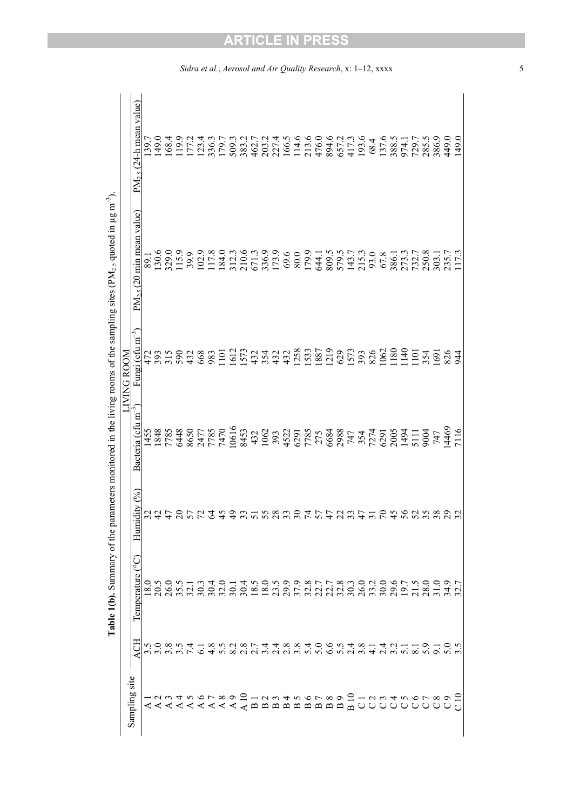|                                              | arameters monitored in the living rooms of the sampling sites (PM <sub>2.5</sub> quoted in $\mu$ g m <sup>-3</sup> )<br><b>LIVING ROOM</b>                                                                                                                                                                          |
|----------------------------------------------|---------------------------------------------------------------------------------------------------------------------------------------------------------------------------------------------------------------------------------------------------------------------------------------------------------------------|
| Hum<br>ି<br>emperature<br>⊢                  | (20 min mean value)<br>$PM_{25}$<br>าว์<br>El<br>(cfu<br>Fungi<br>Έ<br>Bacteria (cfu                                                                                                                                                                                                                                |
| <u>្ត្រី)</u><br>រដ្ឋា<br>រដ្ឋាន និង ២ ១ ៥ ៥ |                                                                                                                                                                                                                                                                                                                     |
|                                              |                                                                                                                                                                                                                                                                                                                     |
|                                              |                                                                                                                                                                                                                                                                                                                     |
|                                              |                                                                                                                                                                                                                                                                                                                     |
|                                              |                                                                                                                                                                                                                                                                                                                     |
|                                              |                                                                                                                                                                                                                                                                                                                     |
|                                              |                                                                                                                                                                                                                                                                                                                     |
|                                              |                                                                                                                                                                                                                                                                                                                     |
|                                              |                                                                                                                                                                                                                                                                                                                     |
|                                              |                                                                                                                                                                                                                                                                                                                     |
|                                              |                                                                                                                                                                                                                                                                                                                     |
|                                              |                                                                                                                                                                                                                                                                                                                     |
|                                              |                                                                                                                                                                                                                                                                                                                     |
|                                              |                                                                                                                                                                                                                                                                                                                     |
| $337788899404949494848484$                   |                                                                                                                                                                                                                                                                                                                     |
| 32.8                                         |                                                                                                                                                                                                                                                                                                                     |
|                                              |                                                                                                                                                                                                                                                                                                                     |
|                                              |                                                                                                                                                                                                                                                                                                                     |
|                                              |                                                                                                                                                                                                                                                                                                                     |
|                                              |                                                                                                                                                                                                                                                                                                                     |
|                                              |                                                                                                                                                                                                                                                                                                                     |
|                                              |                                                                                                                                                                                                                                                                                                                     |
|                                              |                                                                                                                                                                                                                                                                                                                     |
|                                              |                                                                                                                                                                                                                                                                                                                     |
|                                              |                                                                                                                                                                                                                                                                                                                     |
|                                              |                                                                                                                                                                                                                                                                                                                     |
|                                              |                                                                                                                                                                                                                                                                                                                     |
| 58388<br>778999999799999<br>2289889991881    |                                                                                                                                                                                                                                                                                                                     |
|                                              |                                                                                                                                                                                                                                                                                                                     |
| 32                                           | $\frac{1}{4}$ $\frac{1}{2}$ $\frac{1}{2}$ $\frac{1}{2}$ $\frac{1}{2}$ $\frac{1}{2}$ $\frac{1}{2}$ $\frac{1}{2}$ $\frac{1}{2}$ $\frac{1}{2}$ $\frac{1}{2}$ $\frac{1}{4}$ $\frac{1}{2}$ $\frac{1}{2}$ $\frac{1}{2}$ $\frac{1}{2}$ $\frac{1}{2}$ $\frac{1}{2}$ $\frac{1}{2}$ $\frac{1}{2}$ $\frac{1}{2}$ $\frac{1}{2}$ |

5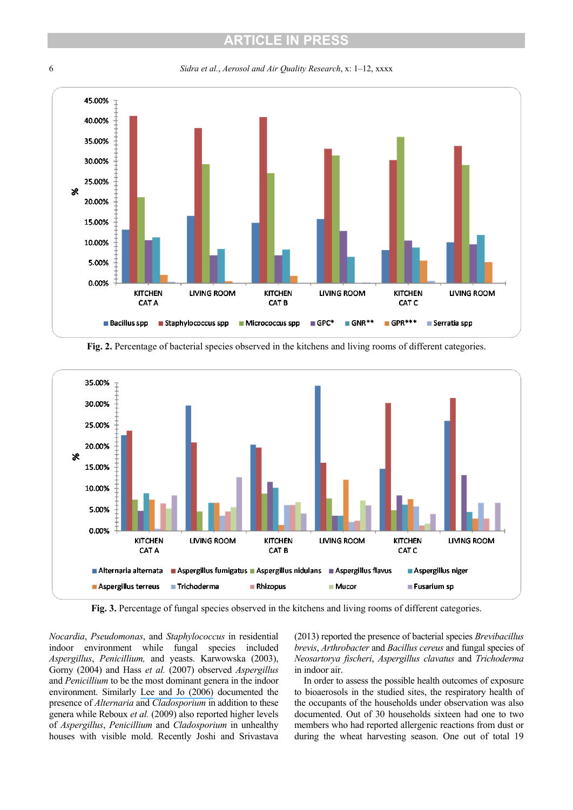6 *Sidra et al.*, *Aerosol and Air Quality Research*, x: 1–12, xxxx



**Fig. 2.** Percentage of bacterial species observed in the kitchens and living rooms of different categories.



**Fig. 3.** Percentage of fungal species observed in the kitchens and living rooms of different categories.

*Nocardia*, *Pseudomonas*, and *Staphylococcus* in residential indoor environment while fungal species included *Aspergillus*, *Penicillium,* and yeasts. Karwowska (2003), Gorny (2004) and Hass *et al.* (2007) observed *Aspergillus* and *Penicillium* to be the most dominant genera in the indoor environment. Similarly [Lee and Jo \(2006\)](https://www.researchgate.net/publication/7566183_Characteristics_of_indoor_and_outdoor_bioaerosols_at_Korean_high-rise_apartment_buildings?el=1_x_8&enrichId=rgreq-20cee180-01a7-4ed8-b8d8-1c99520412c9&enrichSource=Y292ZXJQYWdlOzI4MDU2Mjc3NTtBUzoyNTY4MzIwODYyMTI2MDhAMTQzODI0NDk0OTYzNg==) documented the presence of *Alternaria* and *Cladosporium* in addition to these genera while Reboux *et al.* (2009) also reported higher levels of *Aspergillus*, *Penicillium* and *Cladosporium* in unhealthy houses with visible mold. Recently Joshi and Srivastava

(2013) reported the presence of bacterial species *Brevibacillus brevis*, *Arthrobacter* and *Bacillus cereus* and fungal species of *Neosartorya fischeri*, *Aspergillus clavatus* and *Trichoderma*  in indoor air.

In order to assess the possible health outcomes of exposure to bioaerosols in the studied sites, the respiratory health of the occupants of the households under observation was also documented. Out of 30 households sixteen had one to two members who had reported allergenic reactions from dust or during the wheat harvesting season. One out of total 19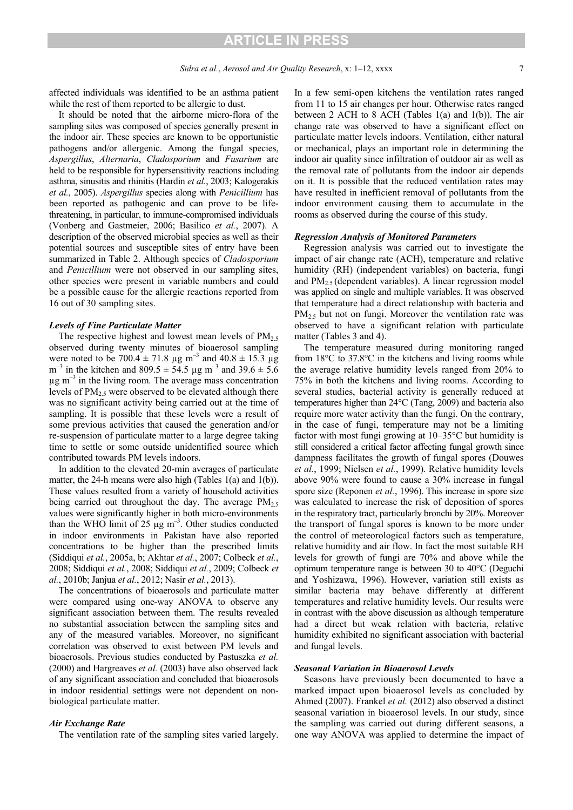affected individuals was identified to be an asthma patient while the rest of them reported to be allergic to dust.

It should be noted that the airborne micro-flora of the sampling sites was composed of species generally present in the indoor air. These species are known to be opportunistic pathogens and/or allergenic. Among the fungal species, *Aspergillus*, *Alternaria*, *Cladosporium* and *Fusarium* are held to be responsible for hypersensitivity reactions including asthma, sinusitis and rhinitis (Hardin *et al.*, 2003; Kalogerakis *et al.*, 2005). *Aspergillus* species along with *Penicillium* has been reported as pathogenic and can prove to be lifethreatening, in particular, to immune-compromised individuals (Vonberg and Gastmeier, 2006; Basilico *et al.*, 2007). A description of the observed microbial species as well as their potential sources and susceptible sites of entry have been summarized in Table 2. Although species of *Cladosporium* and *Penicillium* were not observed in our sampling sites, other species were present in variable numbers and could be a possible cause for the allergic reactions reported from 16 out of 30 sampling sites.

#### *Levels of Fine Particulate Matter*

The respective highest and lowest mean levels of  $PM_{2.5}$ observed during twenty minutes of bioaerosol sampling were noted to be 700.4  $\pm$  71.8 µg m<sup>-3</sup> and 40.8  $\pm$  15.3 µg  $m^{-3}$  in the kitchen and 809.5  $\pm$  54.5 µg m<sup>-3</sup> and 39.6  $\pm$  5.6  $\mu$ g m<sup>-3</sup> in the living room. The average mass concentration levels of  $PM_{2.5}$  were observed to be elevated although there was no significant activity being carried out at the time of sampling. It is possible that these levels were a result of some previous activities that caused the generation and/or re-suspension of particulate matter to a large degree taking time to settle or some outside unidentified source which contributed towards PM levels indoors.

In addition to the elevated 20-min averages of particulate matter, the 24-h means were also high (Tables 1(a) and 1(b)). These values resulted from a variety of household activities being carried out throughout the day. The average  $PM<sub>2.5</sub>$ values were significantly higher in both micro-environments than the WHO limit of  $25 \mu g$  m<sup>-3</sup>. Other studies conducted in indoor environments in Pakistan have also reported concentrations to be higher than the prescribed limits (Siddiqui *et al.*, 2005a, b; Akhtar *et al.*, 2007; Colbeck *et al.*, 2008; Siddiqui *et al.*, 2008; Siddiqui *et al.*, 2009; Colbeck *et al.*, 2010b; Janjua *et al.*, 2012; Nasir *et al.*, 2013).

The concentrations of bioaerosols and particulate matter were compared using one-way ANOVA to observe any significant association between them. The results revealed no substantial association between the sampling sites and any of the measured variables. Moreover, no significant correlation was observed to exist between PM levels and bioaerosols. Previous studies conducted by Pastuszka *et al.* (2000) and Hargreaves *et al.* (2003) have also observed lack of any significant association and concluded that bioaerosols in indoor residential settings were not dependent on nonbiological particulate matter.

#### *Air Exchange Rate*

The ventilation rate of the sampling sites varied largely.

In a few semi-open kitchens the ventilation rates ranged from 11 to 15 air changes per hour. Otherwise rates ranged between 2 ACH to 8 ACH (Tables 1(a) and 1(b)). The air change rate was observed to have a significant effect on particulate matter levels indoors. Ventilation, either natural or mechanical, plays an important role in determining the indoor air quality since infiltration of outdoor air as well as the removal rate of pollutants from the indoor air depends on it. It is possible that the reduced ventilation rates may have resulted in inefficient removal of pollutants from the indoor environment causing them to accumulate in the rooms as observed during the course of this study.

#### *Regression Analysis of Monitored Parameters*

Regression analysis was carried out to investigate the impact of air change rate (ACH), temperature and relative humidity (RH) (independent variables) on bacteria, fungi and  $PM<sub>2.5</sub>$  (dependent variables). A linear regression model was applied on single and multiple variables. It was observed that temperature had a direct relationship with bacteria and PM2.5 but not on fungi. Moreover the ventilation rate was observed to have a significant relation with particulate matter (Tables 3 and 4).

The temperature measured during monitoring ranged from 18°C to 37.8°C in the kitchens and living rooms while the average relative humidity levels ranged from 20% to 75% in both the kitchens and living rooms. According to several studies, bacterial activity is generally reduced at temperatures higher than 24°C (Tang, 2009) and bacteria also require more water activity than the fungi. On the contrary, in the case of fungi, temperature may not be a limiting factor with most fungi growing at 10–35°C but humidity is still considered a critical factor affecting fungal growth since dampness facilitates the growth of fungal spores (Douwes *et al.*, 1999; Nielsen *et al.*, 1999). Relative humidity levels above 90% were found to cause a 30% increase in fungal spore size (Reponen *et al.*, 1996). This increase in spore size was calculated to increase the risk of deposition of spores in the respiratory tract, particularly bronchi by 20%. Moreover the transport of fungal spores is known to be more under the control of meteorological factors such as temperature, relative humidity and air flow. In fact the most suitable RH levels for growth of fungi are 70% and above while the optimum temperature range is between 30 to 40°C (Deguchi and Yoshizawa, 1996). However, variation still exists as similar bacteria may behave differently at different temperatures and relative humidity levels. Our results were in contrast with the above discussion as although temperature had a direct but weak relation with bacteria, relative humidity exhibited no significant association with bacterial and fungal levels.

#### *Seasonal Variation in Bioaerosol Levels*

Seasons have previously been documented to have a marked impact upon bioaerosol levels as concluded by Ahmed (2007). Frankel *et al.* (2012) also observed a distinct seasonal variation in bioaerosol levels. In our study, since the sampling was carried out during different seasons, a one way ANOVA was applied to determine the impact of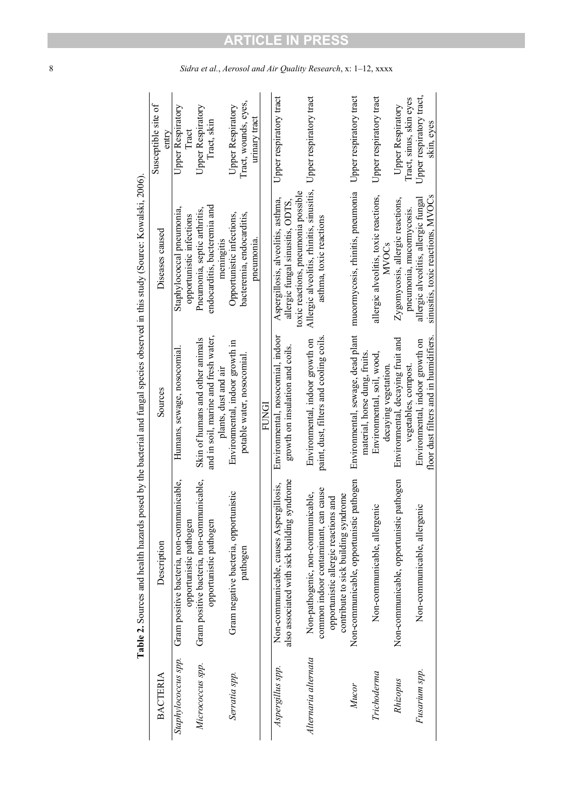|                      | T structure of the process of the process of the process of the process of the control of the process of the control in the structure of the control of the control of the control of the control of the control of the contro |                                        |                                                           |                              |
|----------------------|--------------------------------------------------------------------------------------------------------------------------------------------------------------------------------------------------------------------------------|----------------------------------------|-----------------------------------------------------------|------------------------------|
| <b>BACTERIA</b>      | Description                                                                                                                                                                                                                    | Sources                                | Diseases caused                                           | Susceptible site of<br>entrv |
| Staphylococcus spp.  | Gram positive bacteria, non-communicable,                                                                                                                                                                                      | Humans, sewage, nosocomial             | Staphylococcal pneumonia,                                 | <b>Upper Respiratory</b>     |
|                      | opportunistic pathogen                                                                                                                                                                                                         |                                        | opportunistic infections                                  | Tract                        |
| Micrococcus spp.     | Gram positive bacteria, non-communicable,                                                                                                                                                                                      | Skin of humans and other animals       | Pneumonia, septic arthritis,                              | Upper Respiratory            |
|                      | opportunistic pathogen                                                                                                                                                                                                         | and in soil, marine and fresh water,   | endocarditis, bacteremia and                              | Tract, skin                  |
|                      |                                                                                                                                                                                                                                | plants, dust and air                   | meningitis                                                |                              |
| Serratia spp.        | Gram negative bacteria, opportunistic                                                                                                                                                                                          | Environmental, indoor growth in        | Opportunistic infections,                                 | Upper Respiratory            |
|                      | pathogen                                                                                                                                                                                                                       | potable water, nosocomial              | bacteremia, endocarditis,                                 | Tract, wounds, eyes,         |
|                      |                                                                                                                                                                                                                                |                                        | pneumonia.                                                | urinary tract                |
|                      |                                                                                                                                                                                                                                | FUNGI                                  |                                                           |                              |
| Aspergillus spp.     | Non-communicable, causes Aspergillosis,                                                                                                                                                                                        | Environmental, nosocomial, indoor      | Aspergillosis, alveolitis, asthma,                        | Upper respiratory tract      |
|                      | syndrome<br>also associated with sick building                                                                                                                                                                                 | growth on insulation and coils.        | allergic fungal sinusitis, ODTS,                          |                              |
|                      |                                                                                                                                                                                                                                |                                        | toxic reactions, pneumonia possible                       |                              |
| Alternaria alternata | Non-pathogenic, non-communicable,                                                                                                                                                                                              | Environmental, indoor growth on        | Allergic alveolitis, rhinitis, sinusitis,                 | Upper respiratory tract      |
|                      | common indoor contaminant, can cause                                                                                                                                                                                           | paint, dust, filters and cooling coils | asthma, toxic reactions                                   |                              |
|                      | opportunistic allergic reactions and                                                                                                                                                                                           |                                        |                                                           |                              |
|                      | contribute to sick building syndrome                                                                                                                                                                                           |                                        |                                                           |                              |
| Mucor                | Non-communicable, opportunistic pathogen                                                                                                                                                                                       | Environmental, sewage, dead plant      | mucormycosis, rhinitis, pneumonia Upper respiratory tract |                              |
|                      |                                                                                                                                                                                                                                | material, horse dung, fruits.          |                                                           |                              |
| Trichoderma          | Non-communicable, allergenic                                                                                                                                                                                                   | Environmental, soil, wood,             | allergic alveolitis, toxic reactions,                     | Upper respiratory tract      |
|                      |                                                                                                                                                                                                                                | decaying vegetation                    | <b>MVOCs</b>                                              |                              |
| Rhizopus             | Non-communicable, opportunistic pathogen                                                                                                                                                                                       | Environmental, decaying fruit and      | Zygomycosis, allergic reactions,                          | <b>Upper Respiratory</b>     |
|                      |                                                                                                                                                                                                                                | vegetables, compost.                   | pneumonia, mucormycosis.                                  | Tract, sinus, skin eyes      |
| Fusarium spp.        | Non-communicable, allergenic                                                                                                                                                                                                   | Environmental, indoor growth on        | allergic alveolitis, allergic fungal                      | Upper respiratory tract,     |
|                      |                                                                                                                                                                                                                                | floor dust filters and in humidifiers. | sinusitis, toxic reactions, MVOCs                         | skin, eyes                   |

**Table 2.** Sources and health hazards posed by the bacterial and fungal species observed in this study (Source: Kowalski, 2006). **Table 2.** Sources and health hazards posed by the bacterial and fungal species observed in this study (Source: Kowalski, 2006).

8 *Sidra et al.* , *Aerosol and Air Quality Research*, x: 1–12, xxxx

**ARTICLE IN PRESS**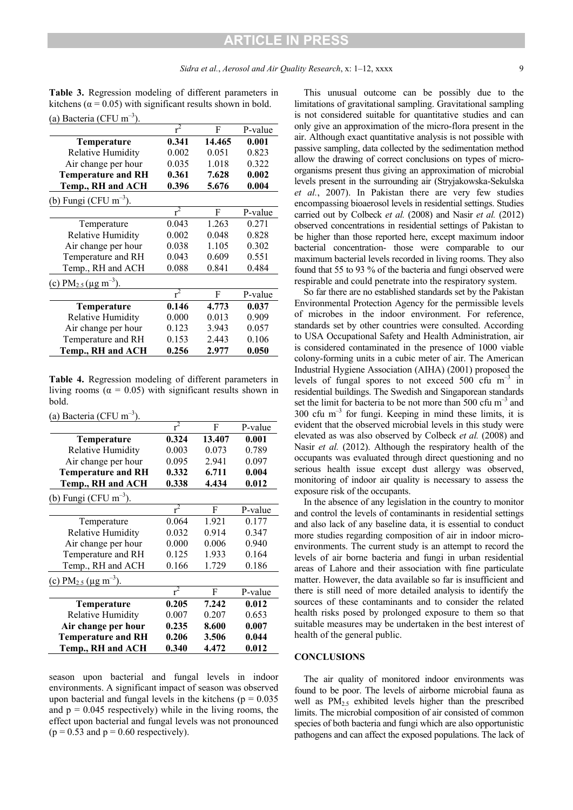**Table 3.** Regression modeling of different parameters in kitchens ( $\alpha$  = 0.05) with significant results shown in bold. (a) Bacteria (CFU  $m^{-3}$ ).

|                                       | $r^2$ | F      | P-value |
|---------------------------------------|-------|--------|---------|
| <b>Temperature</b>                    | 0.341 | 14.465 | 0.001   |
| <b>Relative Humidity</b>              | 0.002 | 0.051  | 0.823   |
| Air change per hour                   | 0.035 | 1.018  | 0.322   |
| <b>Temperature and RH</b>             | 0.361 | 7.628  | 0.002   |
| Temp., RH and ACH                     | 0.396 | 5.676  | 0.004   |
| (b) Fungi (CFU $m^{-3}$ ).            |       |        |         |
|                                       | $r^2$ | F      | P-value |
| Temperature                           | 0.043 | 1.263  | 0.271   |
| <b>Relative Humidity</b>              | 0.002 | 0.048  | 0.828   |
| Air change per hour                   | 0.038 | 1.105  | 0.302   |
| Temperature and RH                    | 0.043 | 0.609  | 0.551   |
| Temp., RH and ACH                     | 0.088 | 0.841  | 0.484   |
| (c) $PM_{2.5}$ (µg m <sup>-3</sup> ). |       |        |         |
|                                       | $r^2$ | F      | P-value |
| Temperature                           | 0.146 | 4.773  | 0.037   |
| <b>Relative Humidity</b>              | 0.000 | 0.013  | 0.909   |
| Air change per hour                   | 0.123 | 3.943  | 0.057   |
| Temperature and RH                    | 0.153 | 2.443  | 0.106   |
| Temp., RH and ACH                     | 0.256 | 2.977  | 0.050   |

**Table 4.** Regression modeling of different parameters in living rooms ( $\alpha = 0.05$ ) with significant results shown in bold.

| (a) Bacteria (CFU m <sup>-3</sup> )   |       |        |         |
|---------------------------------------|-------|--------|---------|
|                                       | $r^2$ | F      | P-value |
| <b>Temperature</b>                    | 0.324 | 13.407 | 0.001   |
| <b>Relative Humidity</b>              | 0.003 | 0.073  | 0.789   |
| Air change per hour                   | 0.095 | 2.941  | 0.097   |
| <b>Temperature and RH</b>             | 0.332 | 6.711  | 0.004   |
| Temp., RH and ACH                     | 0.338 | 4.434  | 0.012   |
| (b) Fungi (CFU $m^{-3}$ ).            |       |        |         |
|                                       | $r^2$ | F      | P-value |
| Temperature                           | 0.064 | 1.921  | 0.177   |
| <b>Relative Humidity</b>              | 0.032 | 0.914  | 0.347   |
| Air change per hour                   | 0.000 | 0.006  | 0.940   |
| Temperature and RH                    | 0.125 | 1.933  | 0.164   |
| Temp., RH and ACH                     | 0.166 | 1.729  | 0.186   |
| (c) $PM_{2.5}$ (µg m <sup>-3</sup> ). |       |        |         |
|                                       | $r^2$ | F      | P-value |
| Temperature                           | 0.205 | 7.242  | 0.012   |
| <b>Relative Humidity</b>              | 0.007 | 0.207  | 0.653   |
| Air change per hour                   | 0.235 | 8.600  | 0.007   |
| <b>Temperature and RH</b>             | 0.206 | 3.506  | 0.044   |
| Temp., RH and ACH                     | 0.340 | 4.472  | 0.012   |

season upon bacterial and fungal levels in indoor environments. A significant impact of season was observed upon bacterial and fungal levels in the kitchens ( $p = 0.035$ ) and  $p = 0.045$  respectively) while in the living rooms, the effect upon bacterial and fungal levels was not pronounced  $(p = 0.53$  and  $p = 0.60$  respectively).

This unusual outcome can be possibly due to the limitations of gravitational sampling. Gravitational sampling is not considered suitable for quantitative studies and can only give an approximation of the micro-flora present in the air. Although exact quantitative analysis is not possible with passive sampling, data collected by the sedimentation method allow the drawing of correct conclusions on types of microorganisms present thus giving an approximation of microbial levels present in the surrounding air (Stryjakowska-Sekulska *et al.*, 2007). In Pakistan there are very few studies encompassing bioaerosol levels in residential settings. Studies carried out by Colbeck *et al.* (2008) and Nasir *et al.* (2012) observed concentrations in residential settings of Pakistan to be higher than those reported here, except maximum indoor bacterial concentration- those were comparable to our maximum bacterial levels recorded in living rooms. They also found that 55 to 93 % of the bacteria and fungi observed were respirable and could penetrate into the respiratory system.

So far there are no established standards set by the Pakistan Environmental Protection Agency for the permissible levels of microbes in the indoor environment. For reference, standards set by other countries were consulted. According to USA Occupational Safety and Health Administration, air is considered contaminated in the presence of 1000 viable colony-forming units in a cubic meter of air. The American Industrial Hygiene Association (AIHA) (2001) proposed the levels of fungal spores to not exceed 500 cfu  $m^{-3}$  in residential buildings. The Swedish and Singaporean standards set the limit for bacteria to be not more than 500 cfu  $m^{-3}$  and  $300$  cfu m<sup>-3</sup> for fungi. Keeping in mind these limits, it is evident that the observed microbial levels in this study were elevated as was also observed by Colbeck *et al.* (2008) and Nasir *et al.* (2012). Although the respiratory health of the occupants was evaluated through direct questioning and no serious health issue except dust allergy was observed, monitoring of indoor air quality is necessary to assess the exposure risk of the occupants.

In the absence of any legislation in the country to monitor and control the levels of contaminants in residential settings and also lack of any baseline data, it is essential to conduct more studies regarding composition of air in indoor microenvironments. The current study is an attempt to record the levels of air borne bacteria and fungi in urban residential areas of Lahore and their association with fine particulate matter. However, the data available so far is insufficient and there is still need of more detailed analysis to identify the sources of these contaminants and to consider the related health risks posed by prolonged exposure to them so that suitable measures may be undertaken in the best interest of health of the general public.

#### **CONCLUSIONS**

The air quality of monitored indoor environments was found to be poor. The levels of airborne microbial fauna as well as  $PM<sub>25</sub>$  exhibited levels higher than the prescribed limits. The microbial composition of air consisted of common species of both bacteria and fungi which are also opportunistic pathogens and can affect the exposed populations. The lack of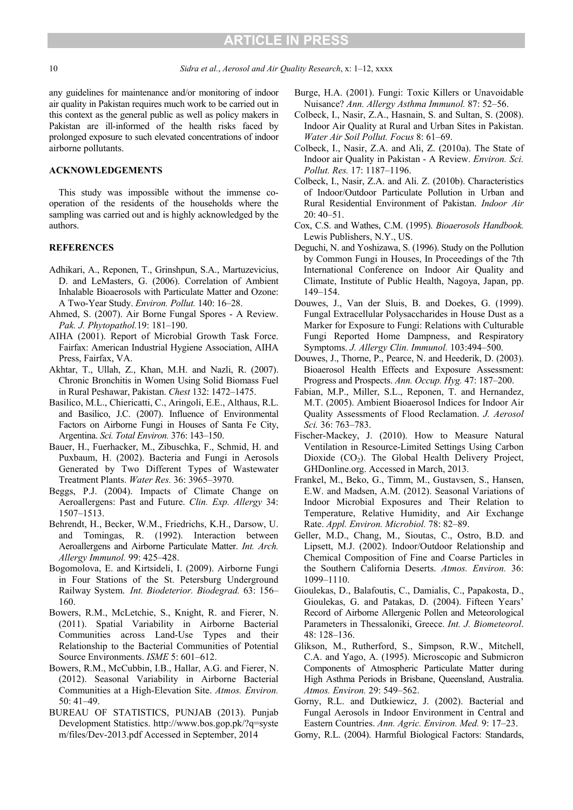10 *Sidra et al.*, *Aerosol and Air Quality Research*, x: 1–12, xxxx

any guidelines for maintenance and/or monitoring of indoor air quality in Pakistan requires much work to be carried out in this context as the general public as well as policy makers in Pakistan are ill-informed of the health risks faced by prolonged exposure to such elevated concentrations of indoor airborne pollutants.

#### **ACKNOWLEDGEMENTS**

This study was impossible without the immense cooperation of the residents of the households where the sampling was carried out and is highly acknowledged by the authors.

#### **REFERENCES**

- Adhikari, A., Reponen, T., Grinshpun, S.A., Martuzevicius, D. and LeMasters, G. (2006). Correlation of Ambient Inhalable Bioaerosols with Particulate Matter and Ozone: A Two-Year Study. *Environ. Pollut.* 140: 16–28.
- Ahmed, S. (2007). Air Borne Fungal Spores A Review. *Pak. J. Phytopathol.*19: 181–190.
- AIHA (2001). Report of Microbial Growth Task Force. Fairfax: American Industrial Hygiene Association, AIHA Press, Fairfax, VA.
- Akhtar, T., Ullah, Z., Khan, M.H. and Nazli, R. (2007). Chronic Bronchitis in Women Using Solid Biomass Fuel in Rural Peshawar, Pakistan. *Chest* 132: 1472–1475.
- Basilico, M.L., Chiericatti, C., Aringoli, E.E., Althaus, R.L. and Basilico, J.C. (2007). Influence of Environmental Factors on Airborne Fungi in Houses of Santa Fe City, Argentina. *Sci. Total Environ.* 376: 143–150.
- Bauer, H., Fuerhacker, M., Zibuschka, F., Schmid, H. and Puxbaum, H. (2002). Bacteria and Fungi in Aerosols Generated by Two Different Types of Wastewater Treatment Plants. *Water Res.* 36: 3965–3970.
- Beggs, P.J. (2004). Impacts of Climate Change on Aeroallergens: Past and Future. *Clin. Exp. Allergy* 34: 1507–1513.
- Behrendt, H., Becker, W.M., Friedrichs, K.H., Darsow, U. and Tomingas, R. (1992). Interaction between Aeroallergens and Airborne Particulate Matter. *Int. Arch. Allergy Immunol.* 99: 425–428.
- Bogomolova, E. and Kirtsideli, I. (2009). Airborne Fungi in Four Stations of the St. Petersburg Underground Railway System. *Int. Biodeterior. Biodegrad.* 63: 156– 160.
- Bowers, R.M., McLetchie, S., Knight, R. and Fierer, N. (2011). Spatial Variability in Airborne Bacterial Communities across Land-Use Types and their Relationship to the Bacterial Communities of Potential Source Environments. *ISME* 5: 601–612.
- Bowers, R.M., McCubbin, I.B., Hallar, A.G. and Fierer, N. (2012). Seasonal Variability in Airborne Bacterial Communities at a High-Elevation Site. *Atmos. Environ.* 50: 41–49.
- BUREAU OF STATISTICS, PUNJAB (2013). Punjab Development Statistics. http://www.bos.gop.pk/?q=syste m/files/Dev-2013.pdf Accessed in September, 2014
- Burge, H.A. (2001). Fungi: Toxic Killers or Unavoidable Nuisance? *Ann. Allergy Asthma Immunol.* 87: 52–56.
- Colbeck, I., Nasir, Z.A., Hasnain, S. and Sultan, S. (2008). Indoor Air Quality at Rural and Urban Sites in Pakistan. *Water Air Soil Pollut. Focus* 8: 61–69.
- Colbeck, I., Nasir, Z.A. and Ali, Z. (2010a). The State of Indoor air Quality in Pakistan - A Review. *Environ. Sci. Pollut. Res.* 17: 1187–1196.
- Colbeck, I., Nasir, Z.A. and Ali. Z. (2010b). Characteristics of Indoor/Outdoor Particulate Pollution in Urban and Rural Residential Environment of Pakistan. *Indoor Air* 20: 40–51.
- Cox, C.S. and Wathes, C.M. (1995). *Bioaerosols Handbook.*  Lewis Publishers, N.Y., US.
- Deguchi, N. and Yoshizawa, S. (1996). Study on the Pollution by Common Fungi in Houses, In Proceedings of the 7th International Conference on Indoor Air Quality and Climate, Institute of Public Health, Nagoya, Japan, pp. 149–154.
- Douwes, J., Van der Sluis, B. and Doekes, G. (1999). Fungal Extracellular Polysaccharides in House Dust as a Marker for Exposure to Fungi: Relations with Culturable Fungi Reported Home Dampness, and Respiratory Symptoms. *J. Allergy Clin. Immunol.* 103:494–500.
- Douwes, J., Thorne, P., Pearce, N. and Heederik, D. (2003). Bioaerosol Health Effects and Exposure Assessment: Progress and Prospects. *Ann. Occup. Hyg.* 47: 187–200.
- Fabian, M.P., Miller, S.L., Reponen, T. and Hernandez, M.T. (2005). Ambient Bioaerosol Indices for Indoor Air Quality Assessments of Flood Reclamation. *J. Aerosol Sci.* 36: 763–783.
- Fischer-Mackey, J. (2010). How to Measure Natural Ventilation in Resource-Limited Settings Using Carbon Dioxide  $(CO<sub>2</sub>)$ . The Global Health Delivery Project, GHDonline.org. Accessed in March, 2013.
- Frankel, M., Beko, G., Timm, M., Gustavsen, S., Hansen, E.W. and Madsen, A.M. (2012). Seasonal Variations of Indoor Microbial Exposures and Their Relation to Temperature, Relative Humidity, and Air Exchange Rate. *Appl. Environ. Microbiol.* 78: 82–89.
- Geller, M.D., Chang, M., Sioutas, C., Ostro, B.D. and Lipsett, M.J. (2002). Indoor/Outdoor Relationship and Chemical Composition of Fine and Coarse Particles in the Southern California Deserts. *Atmos. Environ.* 36: 1099–1110.
- Gioulekas, D., Balafoutis, C., Damialis, C., Papakosta, D., Gioulekas, G. and Patakas, D. (2004). Fifteen Years' Record of Airborne Allergenic Pollen and Meteorological Parameters in Thessaloniki, Greece. *Int. J. Biometeorol*. 48: 128–136.
- Glikson, M., Rutherford, S., Simpson, R.W., Mitchell, C.A. and Yago, A. (1995). Microscopic and Submicron Components of Atmospheric Particulate Matter during High Asthma Periods in Brisbane, Queensland, Australia. *Atmos. Environ.* 29: 549–562.
- Gorny, R.L. and Dutkiewicz, J. (2002). Bacterial and Fungal Aerosols in Indoor Environment in Central and Eastern Countries. *Ann. Agric. Environ. Med.* 9: 17–23.
- Gorny, R.L. (2004). Harmful Biological Factors: Standards,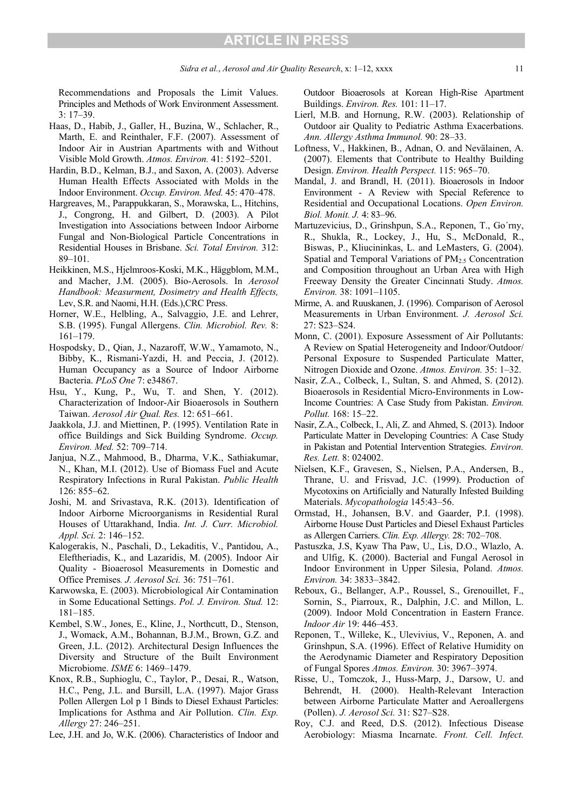*Sidra et al., Aerosol and Air Quality Research, x:* 1–12, xxxx 11

Recommendations and Proposals the Limit Values. Principles and Methods of Work Environment Assessment. 3: 17–39.

- Haas, D., Habib, J., Galler, H., Buzina, W., Schlacher, R., Marth, E. and Reinthaler, F.F. (2007). Assessment of Indoor Air in Austrian Apartments with and Without Visible Mold Growth. *Atmos. Environ.* 41: 5192–5201.
- Hardin, B.D., Kelman, B.J., and Saxon, A. (2003). Adverse Human Health Effects Associated with Molds in the Indoor Environment. *Occup. Environ. Med.* 45: 470–478.
- Hargreaves, M., Parappukkaran, S., Morawska, L., Hitchins, J., Congrong, H. and Gilbert, D. (2003). A Pilot Investigation into Associations between Indoor Airborne Fungal and Non-Biological Particle Concentrations in Residential Houses in Brisbane. *Sci. Total Environ.* 312: 89–101.
- Heikkinen, M.S., Hjelmroos-Koski, M.K., Häggblom, M.M., and Macher, J.M. (2005). Bio-Aerosols. In *Aerosol Handbook: Measurment, Dosimetry and Health Effects,*  Lev, S.R. and Naomi, H.H. (Eds.),CRC Press.
- Horner, W.E., Helbling, A., Salvaggio, J.E. and Lehrer, S.B. (1995). Fungal Allergens. *Clin. Microbiol. Rev.* 8: 161–179.
- Hospodsky, D., Qian, J., Nazaroff, W.W., Yamamoto, N., Bibby, K., Rismani-Yazdi, H. and Peccia, J. (2012). Human Occupancy as a Source of Indoor Airborne Bacteria. *PLoS One* 7: e34867.
- Hsu, Y., Kung, P., Wu, T. and Shen, Y. (2012). Characterization of Indoor-Air Bioaerosols in Southern Taiwan. *Aerosol Air Qual. Res.* 12: 651–661.
- Jaakkola, J.J. and Miettinen, P. (1995). Ventilation Rate in office Buildings and Sick Building Syndrome. *Occup. Environ. Med.* 52: 709–714.
- Janjua, N.Z., Mahmood, B., Dharma, V.K., Sathiakumar, N., Khan, M.I. (2012). Use of Biomass Fuel and Acute Respiratory Infections in Rural Pakistan. *Public Health* 126: 855–62.
- Joshi, M. and Srivastava, R.K. (2013). Identification of Indoor Airborne Microorganisms in Residential Rural Houses of Uttarakhand, India. *Int. J. Curr. Microbiol. Appl. Sci.* 2: 146–152.
- Kalogerakis, N., Paschali, D., Lekaditis, V., Pantidou, A., Eleftheriadis, K., and Lazaridis, M. (2005). Indoor Air Quality - Bioaerosol Measurements in Domestic and Office Premises*. J. Aerosol Sci.* 36: 751–761.
- Karwowska, E. (2003). Microbiological Air Contamination in Some Educational Settings. *Pol. J. Environ. Stud.* 12: 181–185.
- Kembel, S.W., Jones, E., Kline, J., Northcutt, D., Stenson, J., Womack, A.M., Bohannan, B.J.M., Brown, G.Z. and Green, J.L. (2012). Architectural Design Influences the Diversity and Structure of the Built Environment Microbiome. *ISME* 6: 1469–1479.
- Knox, R.B., Suphioglu, C., Taylor, P., Desai, R., Watson, H.C., Peng, J.L. and Bursill, L.A. (1997). Major Grass Pollen Allergen Lol p 1 Binds to Diesel Exhaust Particles: Implications for Asthma and Air Pollution. *Clin. Exp. Allergy* 27: 246–251.
- Lee, J.H. and Jo, W.K. (2006). Characteristics of Indoor and

Outdoor Bioaerosols at Korean High-Rise Apartment Buildings. *Environ. Res.* 101: 11–17.

- Lierl, M.B. and Hornung, R.W. (2003). Relationship of Outdoor air Quality to Pediatric Asthma Exacerbations. *Ann. Allergy Asthma Immunol.* 90: 28–33.
- Loftness, V., Hakkinen, B., Adnan, O. and Nevälainen, A. (2007). Elements that Contribute to Healthy Building Design. *Environ. Health Perspect.* 115: 965–70.
- Mandal, J. and Brandl, H. (2011). Bioaerosols in Indoor Environment - A Review with Special Reference to Residential and Occupational Locations. *Open Environ. Biol. Monit. J.* 4: 83–96.
- Martuzevicius, D., Grinshpun, S.A., Reponen, T., Go´rny, R., Shukla, R., Lockey, J., Hu, S., McDonald, R., Biswas, P., Kliucininkas, L. and LeMasters, G. (2004). Spatial and Temporal Variations of  $PM<sub>25</sub>$  Concentration and Composition throughout an Urban Area with High Freeway Density the Greater Cincinnati Study. *Atmos. Environ.* 38: 1091–1105.
- Mirme, A. and Ruuskanen, J. (1996). Comparison of Aerosol Measurements in Urban Environment. *J. Aerosol Sci.* 27: S23–S24.
- Monn, C. (2001). Exposure Assessment of Air Pollutants: A Review on Spatial Heterogeneity and Indoor/Outdoor/ Personal Exposure to Suspended Particulate Matter, Nitrogen Dioxide and Ozone. *Atmos. Environ.* 35: 1–32.
- Nasir, Z.A., Colbeck, I., Sultan, S. and Ahmed, S. (2012). Bioaerosols in Residential Micro-Environments in Low-Income Countries: A Case Study from Pakistan. *Environ. Pollut.* 168: 15–22.
- Nasir, Z.A., Colbeck, I., Ali, Z. and Ahmed, S. (2013). Indoor Particulate Matter in Developing Countries: A Case Study in Pakistan and Potential Intervention Strategies. *Environ. Res. Lett.* 8: 024002.
- Nielsen, K.F., Gravesen, S., Nielsen, P.A., Andersen, B., Thrane, U. and Frisvad, J.C. (1999). Production of Mycotoxins on Artificially and Naturally Infested Building Materials. *Mycopathologia* 145:43–56.
- Ormstad, H., Johansen, B.V. and Gaarder, P.I. (1998). Airborne House Dust Particles and Diesel Exhaust Particles as Allergen Carriers. *Clin. Exp. Allergy.* 28: 702–708.
- Pastuszka, J.S, Kyaw Tha Paw, U., Lis, D.O., Wlazlo, A. and Ulfig, K. (2000). Bacterial and Fungal Aerosol in Indoor Environment in Upper Silesia, Poland. *Atmos. Environ.* 34: 3833–3842.
- Reboux, G., Bellanger, A.P., Roussel, S., Grenouillet, F., Sornin, S., Piarroux, R., Dalphin, J.C. and Millon, L. (2009). Indoor Mold Concentration in Eastern France. *Indoor Air* 19: 446–453.
- Reponen, T., Willeke, K., Ulevivius, V., Reponen, A. and Grinshpun, S.A. (1996). Effect of Relative Humidity on the Aerodynamic Diameter and Respiratory Deposition of Fungal Spores *Atmos. Environ.* 30: 3967–3974.
- Risse, U., Tomczok, J., Huss-Marp, J., Darsow, U. and Behrendt, H. (2000). Health-Relevant Interaction between Airborne Particulate Matter and Aeroallergens (Pollen). *J. Aerosol Sci.* 31: S27–S28.
- Roy, C.J. and Reed, D.S. (2012). Infectious Disease Aerobiology: Miasma Incarnate. *Front. Cell. Infect.*